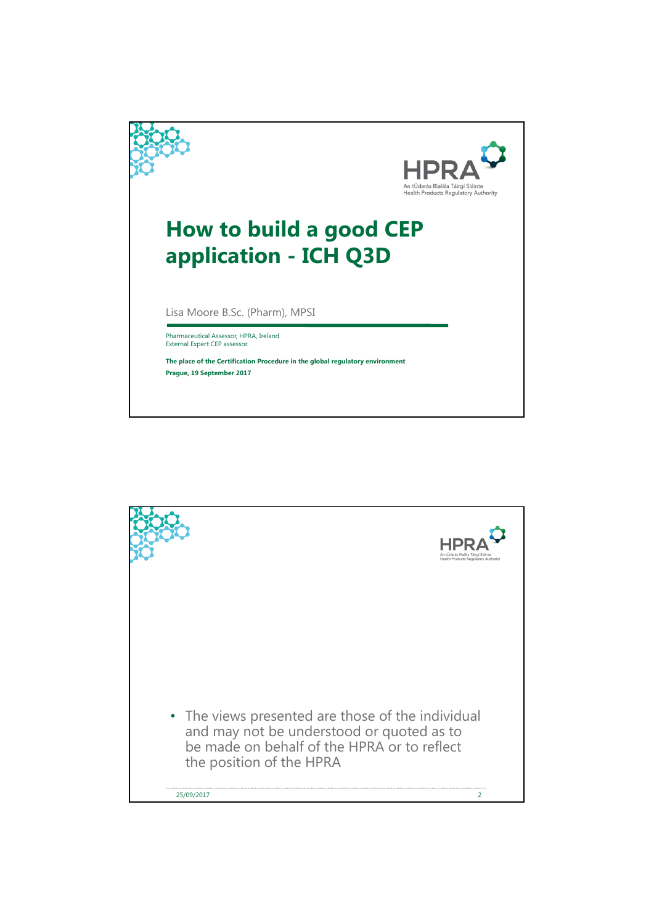

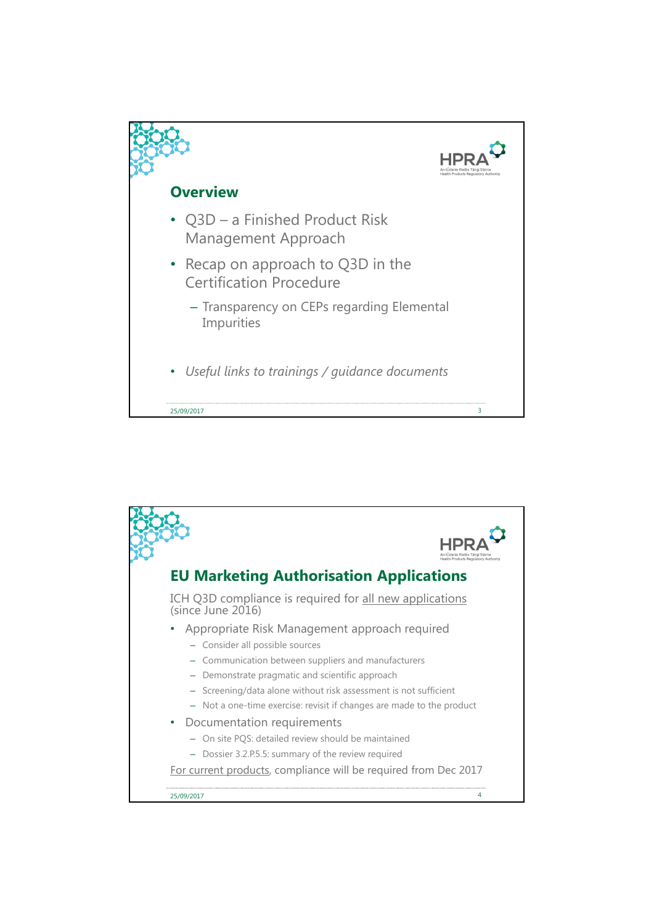

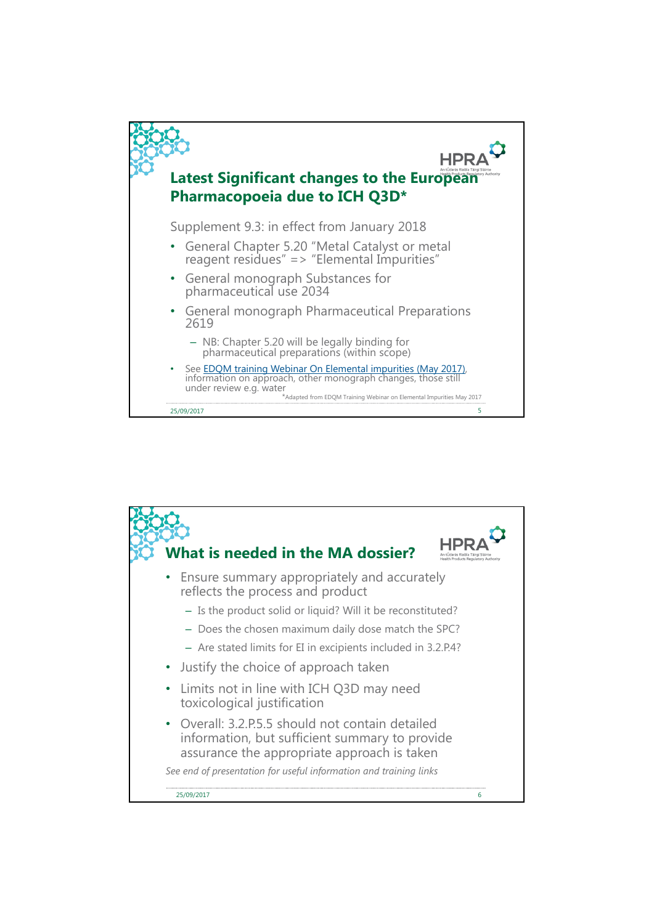

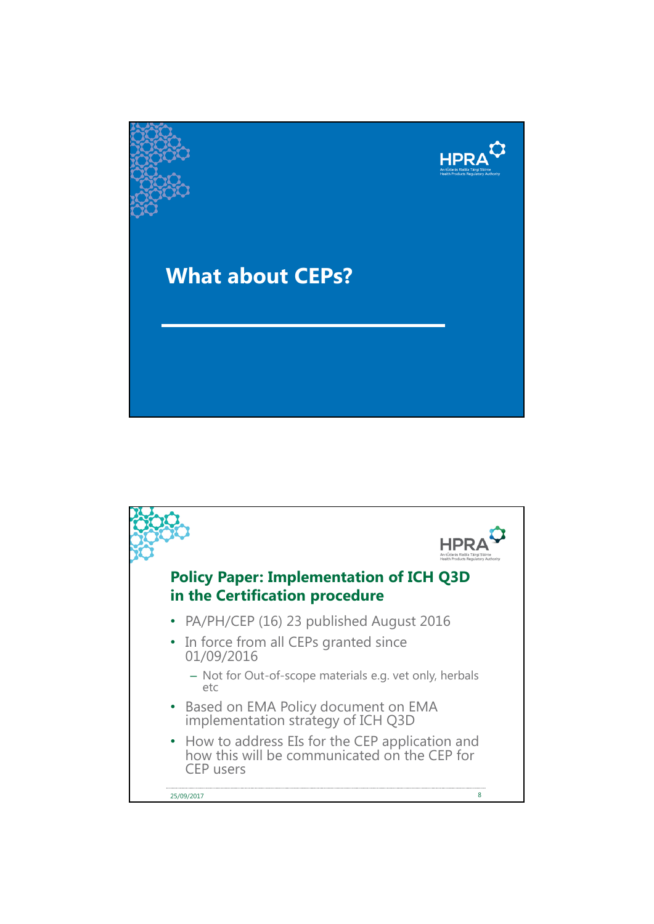

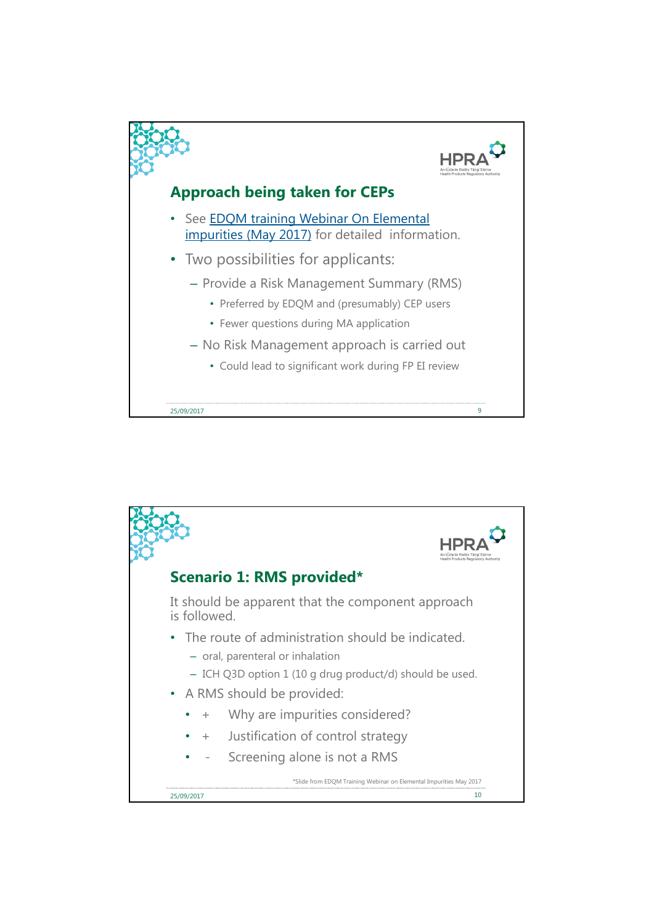

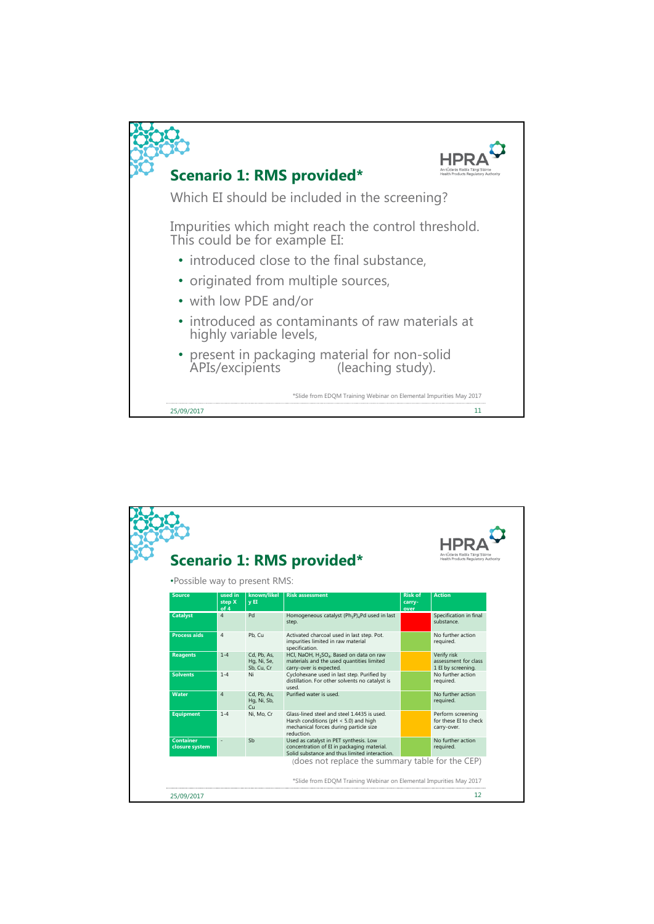

| . Possible way to present RMS:             |  |  |  |  |  |
|--------------------------------------------|--|--|--|--|--|
|                                            |  |  |  |  |  |
| Specification in final                     |  |  |  |  |  |
| No further action                          |  |  |  |  |  |
| assessment for class<br>1 EI by screening. |  |  |  |  |  |
| No further action                          |  |  |  |  |  |
| No further action                          |  |  |  |  |  |
| Perform screening<br>for these EI to check |  |  |  |  |  |
| No further action                          |  |  |  |  |  |
|                                            |  |  |  |  |  |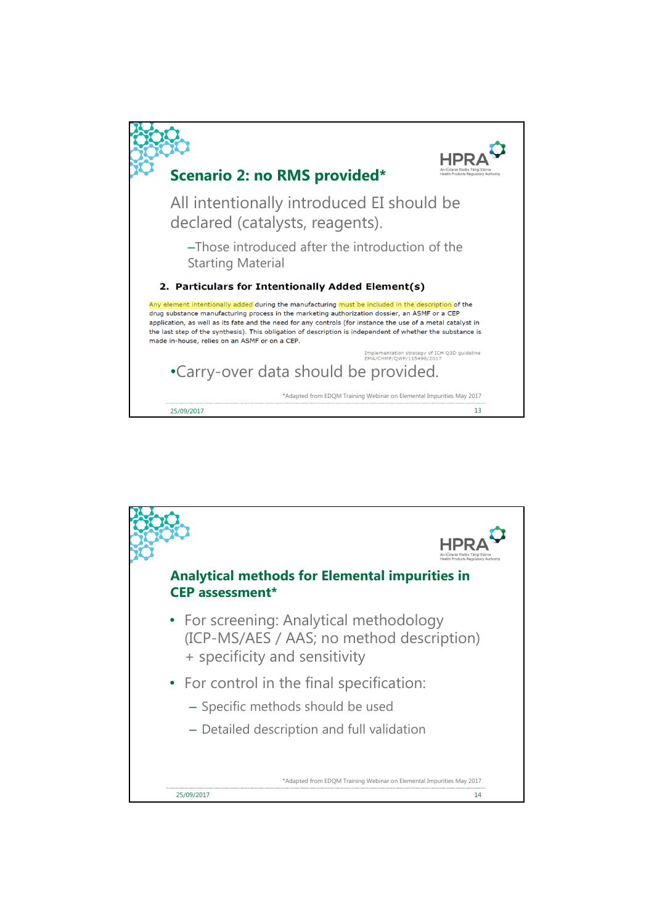

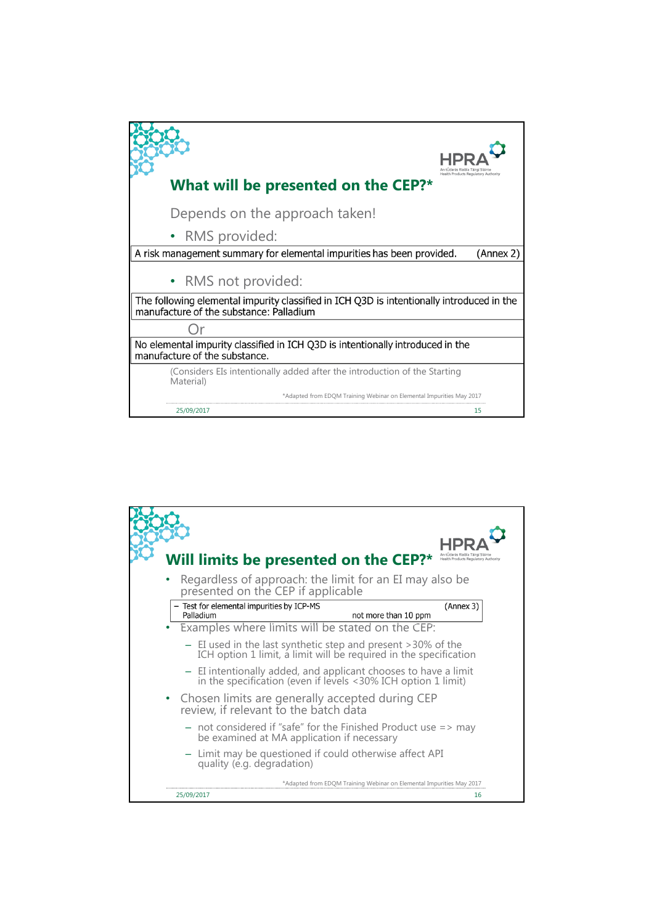

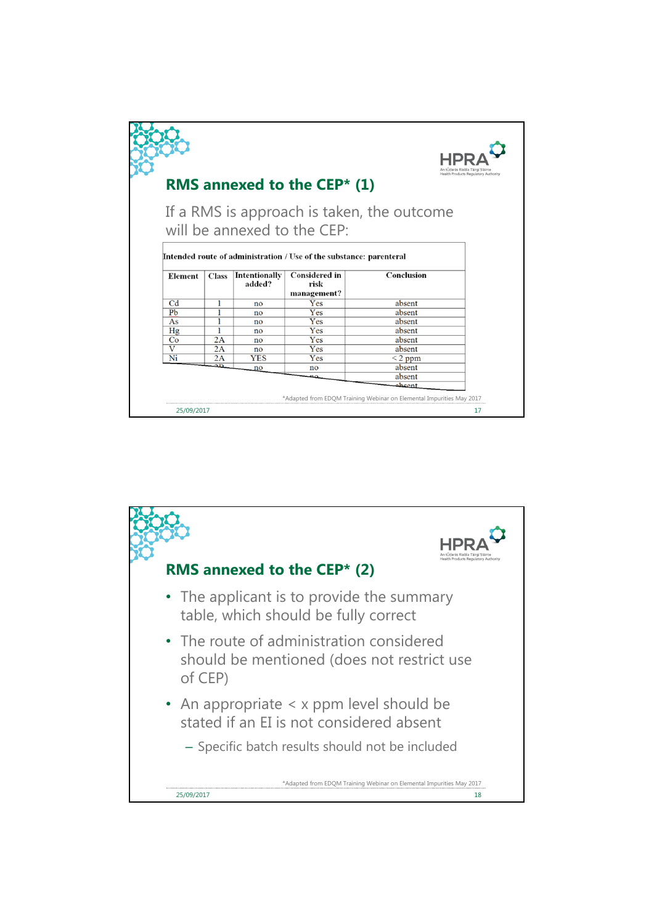|                                                                                                                                                  |              |                         | RMS annexed to the CEP $*$ (1) |              | Health Products Regulatory Authority |  |  |
|--------------------------------------------------------------------------------------------------------------------------------------------------|--------------|-------------------------|--------------------------------|--------------|--------------------------------------|--|--|
| If a RMS is approach is taken, the outcome<br>will be annexed to the CEP:<br>Intended route of administration / Use of the substance: parenteral |              |                         |                                |              |                                      |  |  |
| Element                                                                                                                                          | <b>Class</b> | Intentionally<br>added? | <b>Considered in</b><br>risk   | Conclusion   |                                      |  |  |
|                                                                                                                                                  |              |                         | management?                    |              |                                      |  |  |
| C <sub>d</sub>                                                                                                                                   | 1            | no                      | Yes                            | absent       |                                      |  |  |
| Pb                                                                                                                                               |              | no                      | Yes                            | absent       |                                      |  |  |
| As                                                                                                                                               |              | no                      | Yes                            | absent       |                                      |  |  |
| Hg                                                                                                                                               |              | no                      | Yes                            | absent       |                                      |  |  |
| Co                                                                                                                                               | 2A           | no                      | Yes                            | absent       |                                      |  |  |
| $\overline{\mathbf{V}}$                                                                                                                          | 2A           | no                      | Yes                            | absent       |                                      |  |  |
| Ni                                                                                                                                               | 2A           | <b>YES</b>              | Yes                            | $\leq$ 2 ppm |                                      |  |  |
|                                                                                                                                                  | ΔD           | no                      | no                             | absent       |                                      |  |  |
| absent                                                                                                                                           |              |                         |                                |              |                                      |  |  |
| tneada                                                                                                                                           |              |                         |                                |              |                                      |  |  |
| *Adapted from EDQM Training Webinar on Elemental Impurities May 2017                                                                             |              |                         |                                |              |                                      |  |  |
|                                                                                                                                                  |              |                         |                                |              |                                      |  |  |

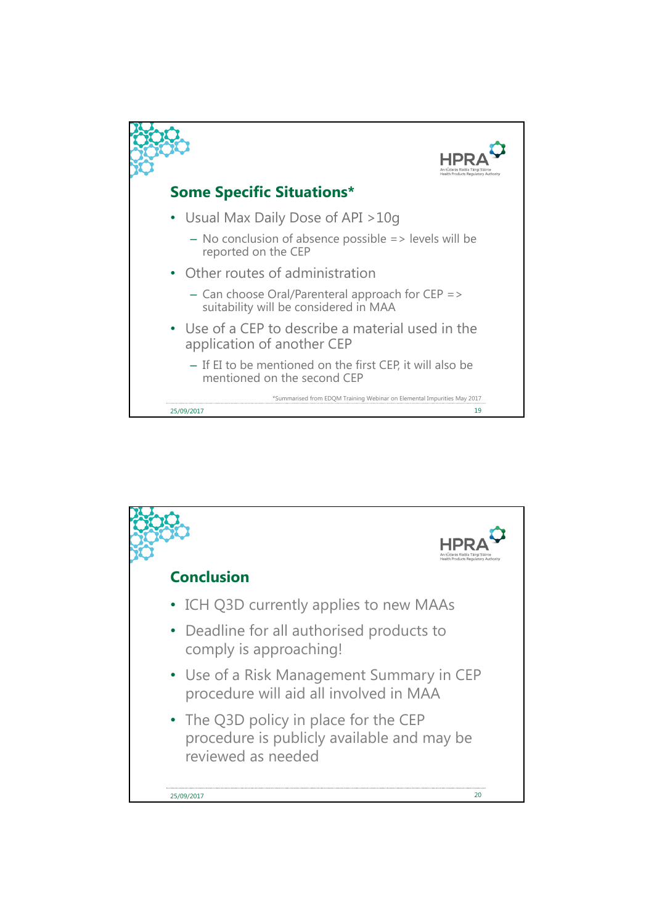

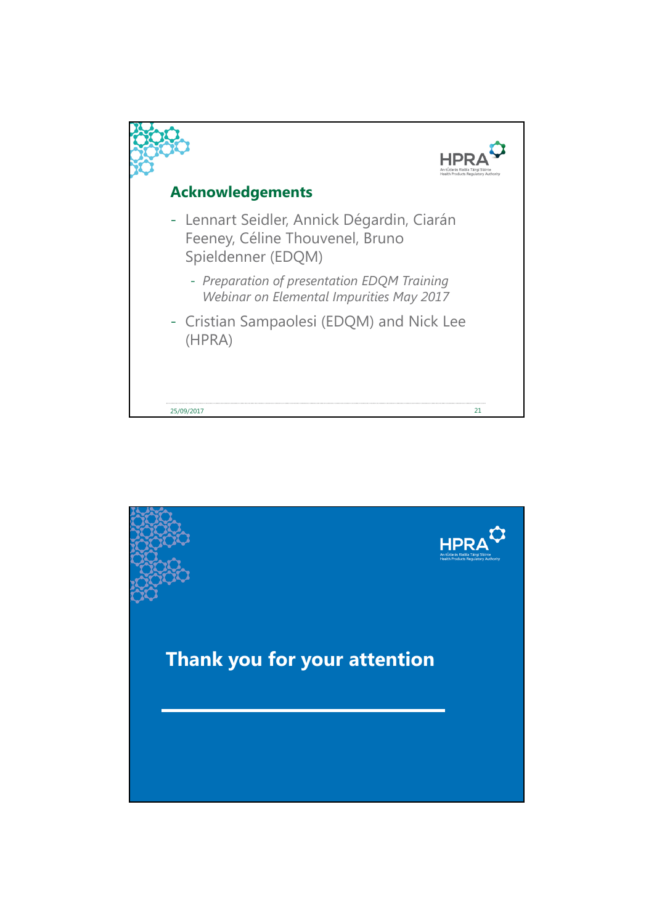